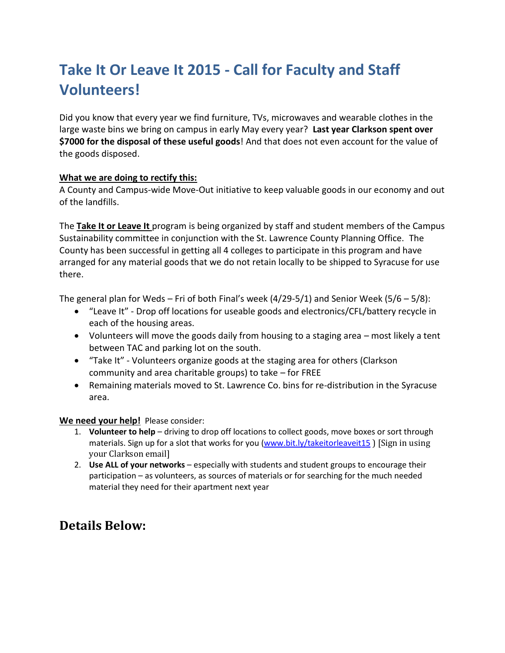# **Take It Or Leave It 2015 - Call for Faculty and Staff Volunteers!**

Did you know that every year we find furniture, TVs, microwaves and wearable clothes in the large waste bins we bring on campus in early May every year? **Last year Clarkson spent over \$7000 for the disposal of these useful goods**! And that does not even account for the value of the goods disposed.

#### **What we are doing to rectify this:**

A County and Campus-wide Move-Out initiative to keep valuable goods in our economy and out of the landfills.

The **Take It or Leave It** program is being organized by staff and student members of the Campus Sustainability committee in conjunction with the St. Lawrence County Planning Office. The County has been successful in getting all 4 colleges to participate in this program and have arranged for any material goods that we do not retain locally to be shipped to Syracuse for use there.

The general plan for Weds – Fri of both Final's week (4/29-5/1) and Senior Week (5/6 – 5/8):

- "Leave It" Drop off locations for useable goods and electronics/CFL/battery recycle in each of the housing areas.
- Volunteers will move the goods daily from housing to a staging area most likely a tent between TAC and parking lot on the south.
- "Take It" Volunteers organize goods at the staging area for others (Clarkson community and area charitable groups) to take – for FREE
- Remaining materials moved to St. Lawrence Co. bins for re-distribution in the Syracuse area.

#### **We need your help!** Please consider:

- 1. **Volunteer to help** driving to drop off locations to collect goods, move boxes or sort through materials. Sign up for a slot that works for you [\(www.bit.ly/takeitorleaveit15](http://www.bit.ly/takeitorleaveit15)) [Sign in using your Clarkson email]
- 2. **Use ALL of your networks** especially with students and student groups to encourage their participation – as volunteers, as sources of materials or for searching for the much needed material they need for their apartment next year

## **Details Below:**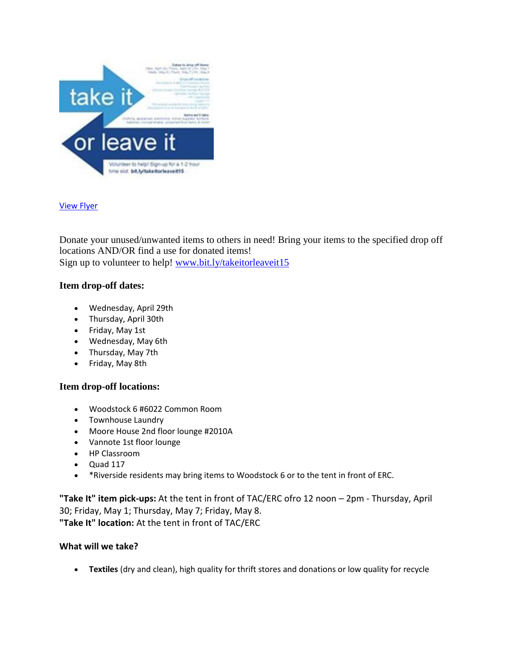

#### [View Flyer](https://knightlife.clarkson.edu/images/W460xL600/0/noshadow/Event/7c85d419cb364da7913dca2cf36811df.jpg)

Donate your unused/unwanted items to others in need! Bring your items to the specified drop off locations AND/OR find a use for donated items! Sign up to volunteer to help! [www.bit.ly/takeitorleaveit15](http://www.bit.ly/takeitorleaveit15)

### **Item drop-off dates:**

- Wednesday, April 29th
- Thursday, April 30th
- Friday, May 1st
- Wednesday, May 6th
- Thursday, May 7th
- Friday, May 8th

#### **Item drop-off locations:**

- Woodstock 6 #6022 Common Room
- Townhouse Laundry
- Moore House 2nd floor lounge #2010A
- Vannote 1st floor lounge
- HP Classroom
- $\bullet$  Quad 117
- \* Riverside residents may bring items to Woodstock 6 or to the tent in front of ERC.

**"Take It" item pick-ups:** At the tent in front of TAC/ERC ofro 12 noon – 2pm - Thursday, April 30; Friday, May 1; Thursday, May 7; Friday, May 8. **"Take It" location:** At the tent in front of TAC/ERC

#### **What will we take?**

**Textiles** (dry and clean), high quality for thrift stores and donations or low quality for recycle